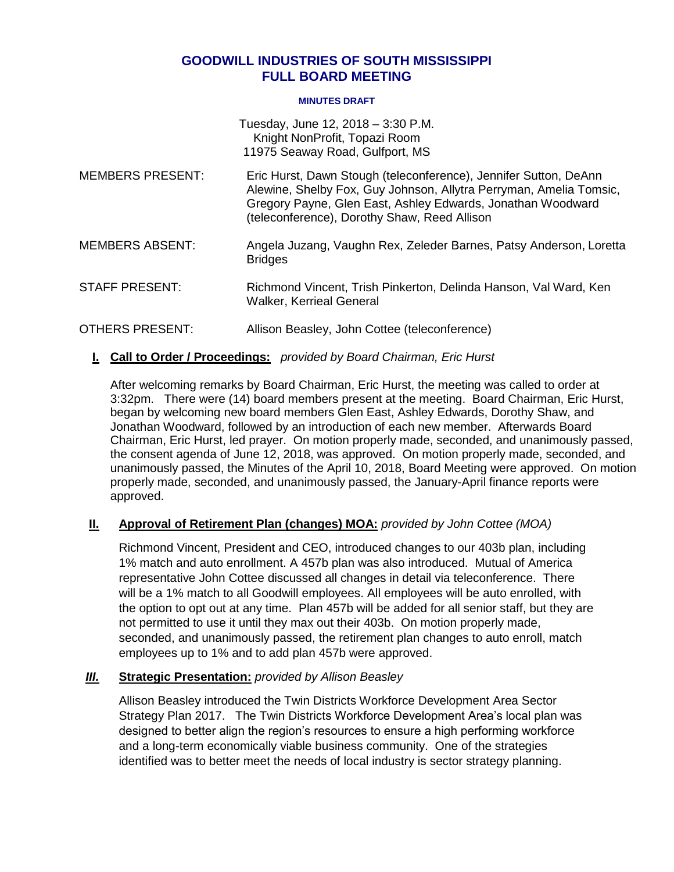## **GOODWILL INDUSTRIES OF SOUTH MISSISSIPPI FULL BOARD MEETING**

#### **MINUTES DRAFT**

| Tuesday, June 12, 2018 – 3:30 P.M. |
|------------------------------------|
| Knight NonProfit, Topazi Room      |
| 11975 Seaway Road, Gulfport, MS    |

- MEMBERS PRESENT: Eric Hurst, Dawn Stough (teleconference), Jennifer Sutton, DeAnn Alewine, Shelby Fox, Guy Johnson, Allytra Perryman, Amelia Tomsic, Gregory Payne, Glen East, Ashley Edwards, Jonathan Woodward (teleconference), Dorothy Shaw, Reed Allison
- MEMBERS ABSENT: Angela Juzang, Vaughn Rex, Zeleder Barnes, Patsy Anderson, Loretta **Bridges**
- STAFF PRESENT: Richmond Vincent, Trish Pinkerton, Delinda Hanson, Val Ward, Ken Walker, Kerrieal General

## OTHERS PRESENT: Allison Beasley, John Cottee (teleconference)

## **I. Call to Order / Proceedings:** *provided by Board Chairman, Eric Hurst*

After welcoming remarks by Board Chairman, Eric Hurst, the meeting was called to order at 3:32pm. There were (14) board members present at the meeting. Board Chairman, Eric Hurst, began by welcoming new board members Glen East, Ashley Edwards, Dorothy Shaw, and Jonathan Woodward, followed by an introduction of each new member. Afterwards Board Chairman, Eric Hurst, led prayer. On motion properly made, seconded, and unanimously passed, the consent agenda of June 12, 2018, was approved. On motion properly made, seconded, and unanimously passed, the Minutes of the April 10, 2018, Board Meeting were approved. On motion properly made, seconded, and unanimously passed, the January-April finance reports were approved.

## **II. Approval of Retirement Plan (changes) MOA:** *provided by John Cottee (MOA)*

Richmond Vincent, President and CEO, introduced changes to our 403b plan, including 1% match and auto enrollment. A 457b plan was also introduced. Mutual of America representative John Cottee discussed all changes in detail via teleconference. There will be a 1% match to all Goodwill employees. All employees will be auto enrolled, with the option to opt out at any time. Plan 457b will be added for all senior staff, but they are not permitted to use it until they max out their 403b. On motion properly made, seconded, and unanimously passed, the retirement plan changes to auto enroll, match employees up to 1% and to add plan 457b were approved.

## *III.* **Strategic Presentation:** *provided by Allison Beasley*

Allison Beasley introduced the Twin Districts Workforce Development Area Sector Strategy Plan 2017. The Twin Districts Workforce Development Area's local plan was designed to better align the region's resources to ensure a high performing workforce and a long-term economically viable business community. One of the strategies identified was to better meet the needs of local industry is sector strategy planning.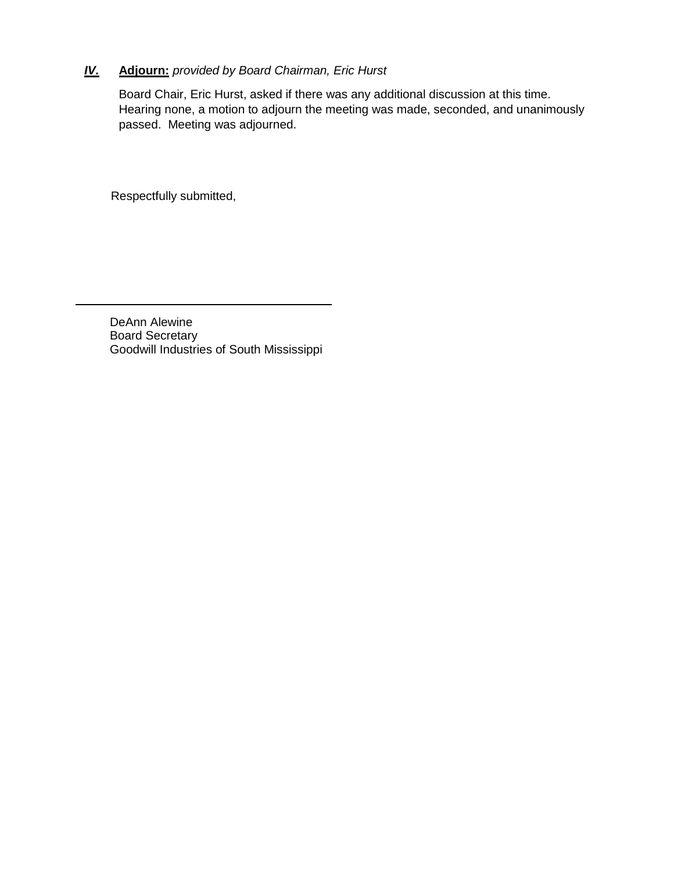# *IV.* **Adjourn:** *provided by Board Chairman, Eric Hurst*

Board Chair, Eric Hurst, asked if there was any additional discussion at this time. Hearing none, a motion to adjourn the meeting was made, seconded, and unanimously passed. Meeting was adjourned.

Respectfully submitted,

DeAnn Alewine Board Secretary Goodwill Industries of South Mississippi